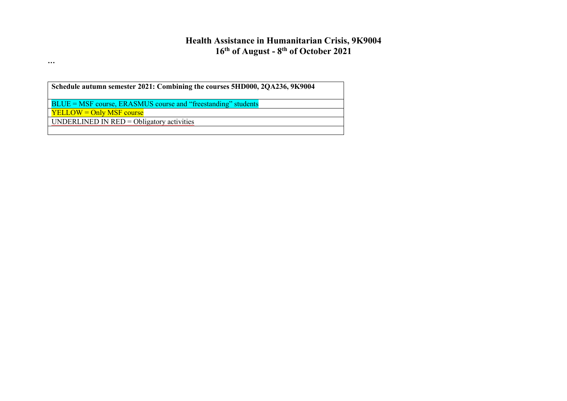# **Health Assistance in Humanitarian Crisis, 9K9004 16th of August - 8 th of October 2021**

**Schedule autumn semester 2021: Combining the courses 5HD000, 2QA236, 9K9004**

BLUE = MSF course, ERASMUS course and "freestanding" students

YELLOW = Only MSF course

**…**

UNDERLINED IN RED = Obligatory activities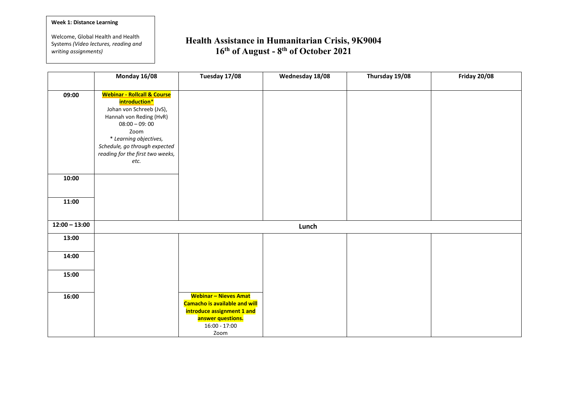#### **Week 1: Distance Learning**

**…**

Welcome, Global Health and Health Systems *(Video lectures, reading and writing assignments)*

|                 | Monday 16/08                                                                                                                                                                                                                                     | Tuesday 17/08                                                                                                                                      | Wednesday 18/08 | Thursday 19/08 | <b>Friday 20/08</b> |
|-----------------|--------------------------------------------------------------------------------------------------------------------------------------------------------------------------------------------------------------------------------------------------|----------------------------------------------------------------------------------------------------------------------------------------------------|-----------------|----------------|---------------------|
| 09:00           | <b>Webinar - Rollcall &amp; Course</b><br>introduction*<br>Johan von Schreeb (JvS),<br>Hannah von Reding (HvR)<br>$08:00 - 09:00$<br>Zoom<br>* Learning objectives,<br>Schedule, go through expected<br>reading for the first two weeks,<br>etc. |                                                                                                                                                    |                 |                |                     |
| 10:00           |                                                                                                                                                                                                                                                  |                                                                                                                                                    |                 |                |                     |
| 11:00           |                                                                                                                                                                                                                                                  |                                                                                                                                                    |                 |                |                     |
| $12:00 - 13:00$ |                                                                                                                                                                                                                                                  |                                                                                                                                                    | Lunch           |                |                     |
| 13:00           |                                                                                                                                                                                                                                                  |                                                                                                                                                    |                 |                |                     |
| 14:00           |                                                                                                                                                                                                                                                  |                                                                                                                                                    |                 |                |                     |
| 15:00           |                                                                                                                                                                                                                                                  |                                                                                                                                                    |                 |                |                     |
| 16:00           |                                                                                                                                                                                                                                                  | <b>Webinar - Nieves Amat</b><br><b>Camacho is available and will</b><br>introduce assignment 1 and<br>answer questions.<br>$16:00 - 17:00$<br>Zoom |                 |                |                     |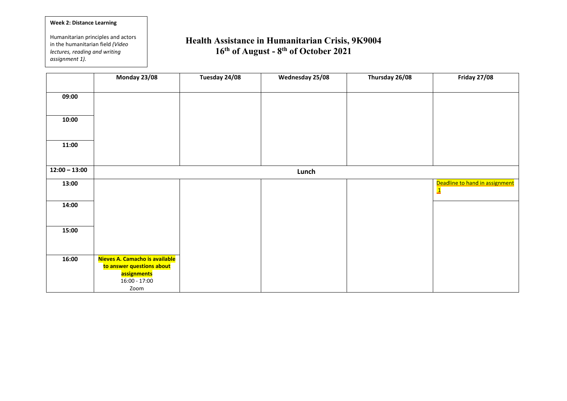## **Week 2: Distance Learning**

**…** *assignment 1).*Humanitarian principles and actors in the humanitarian field *(Video lectures, reading and writing* 

|                 | Monday 23/08                             | Tuesday 24/08 | Wednesday 25/08 | Thursday 26/08 | <b>Friday 27/08</b>                                       |
|-----------------|------------------------------------------|---------------|-----------------|----------------|-----------------------------------------------------------|
| 09:00           |                                          |               |                 |                |                                                           |
|                 |                                          |               |                 |                |                                                           |
| 10:00           |                                          |               |                 |                |                                                           |
|                 |                                          |               |                 |                |                                                           |
| 11:00           |                                          |               |                 |                |                                                           |
|                 |                                          |               |                 |                |                                                           |
| $12:00 - 13:00$ |                                          |               | Lunch           |                |                                                           |
| 13:00           |                                          |               |                 |                | Deadline to hand in assignment<br>$\overline{\mathbf{1}}$ |
|                 |                                          |               |                 |                |                                                           |
| 14:00           |                                          |               |                 |                |                                                           |
|                 |                                          |               |                 |                |                                                           |
| 15:00           |                                          |               |                 |                |                                                           |
|                 |                                          |               |                 |                |                                                           |
| 16:00           | Nieves A. Camacho is available           |               |                 |                |                                                           |
|                 | to answer questions about<br>assignments |               |                 |                |                                                           |
|                 | $16:00 - 17:00$                          |               |                 |                |                                                           |
|                 | Zoom                                     |               |                 |                |                                                           |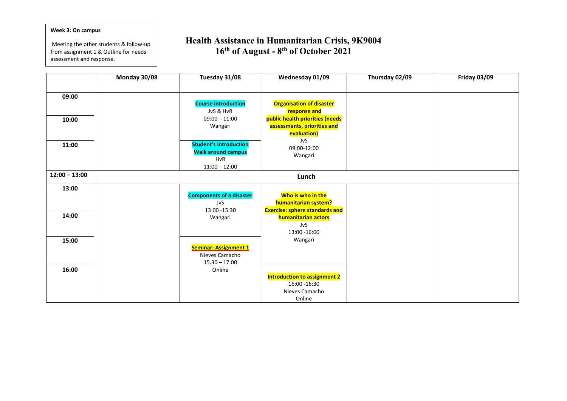#### **Week 3: On campus**

**…** assessment and response.Meeting the other students & follow-up from assignment 1 & Outline for needs

|                 | Monday 30/08 | Tuesday 31/08                                                                                          | Wednesday 01/09                                                                                                                         | Thursday 02/09 | <b>Friday 03/09</b> |
|-----------------|--------------|--------------------------------------------------------------------------------------------------------|-----------------------------------------------------------------------------------------------------------------------------------------|----------------|---------------------|
| 09:00<br>10:00  |              | <b>Course introduction</b><br>JvS & HvR<br>$09:00 - 11:00$<br>Wangari<br><b>Student's introduction</b> | <b>Organisation of disaster</b><br>response and<br>public health priorities (needs<br>assessments, priorities and<br>evaluation)<br>JvS |                |                     |
| 11:00           |              | <b>Walk around campus</b><br><b>HvR</b><br>$11:00 - 12:00$                                             | 09:00-12:00<br>Wangari                                                                                                                  |                |                     |
| $12:00 - 13:00$ |              |                                                                                                        | Lunch                                                                                                                                   |                |                     |
| 13:00<br>14:00  |              | <b>Components of a disaster</b><br>JvS<br>13:00 - 15:30<br>Wangari                                     | Who is who in the<br>humanitarian system?<br><b>Exercise: sphere standards and</b><br>humanitarian actors<br>JvS<br>13:00 - 16:00       |                |                     |
| 15:00           |              | <b>Seminar: Assignment 1</b><br>Nieves Camacho<br>$15.30 - 17.00$                                      | Wangari                                                                                                                                 |                |                     |
| 16:00           |              | Online                                                                                                 | <b>Introduction to assignment 2</b><br>16:00 - 16:30<br>Nieves Camacho<br>Online                                                        |                |                     |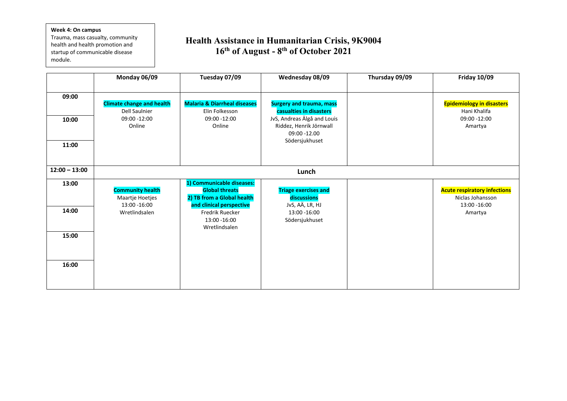#### **Week 4: On campus**

**…** module.Trauma, mass casualty, community health and health promotion and startup of communicable disease

|                         | Monday 06/09                                                                       | Tuesday 07/09                                                                                                                                                            | Wednesday 08/09                                                                                                                                        | Thursday 09/09 | <b>Friday 10/09</b>                                                                 |  |
|-------------------------|------------------------------------------------------------------------------------|--------------------------------------------------------------------------------------------------------------------------------------------------------------------------|--------------------------------------------------------------------------------------------------------------------------------------------------------|----------------|-------------------------------------------------------------------------------------|--|
| 09:00<br>10:00<br>11:00 | <b>Climate change and health</b><br><b>Dell Saulnier</b><br>09:00 -12:00<br>Online | <b>Malaria &amp; Diarrheal diseases</b><br>Elin Folkesson<br>09:00 -12:00<br>Online                                                                                      | <b>Surgery and trauma, mass</b><br>casualties in disasters<br>JvS, Andreas Älgå and Louis<br>Riddez, Henrik Jörnwall<br>09:00 -12.00<br>Södersjukhuset |                | <b>Epidemiology in disasters</b><br>Hani Khalifa<br>09:00 -12:00<br>Amartya         |  |
| $12:00 - 13:00$         | Lunch                                                                              |                                                                                                                                                                          |                                                                                                                                                        |                |                                                                                     |  |
| 13:00<br>14:00<br>15:00 | <b>Community health</b><br>Maartje Hoetjes<br>13:00 - 16:00<br>Wretlindsalen       | 1) Communicable diseases:<br><b>Global threats</b><br>2) TB from a Global health<br>and clinical perspective<br><b>Fredrik Ruecker</b><br>13:00 - 16:00<br>Wretlindsalen | <b>Triage exercises and</b><br>discussions<br>JvS, AÄ, LR, HJ<br>13:00 -16:00<br>Södersjukhuset                                                        |                | <b>Acute respiratory infections</b><br>Niclas Johansson<br>13:00 - 16:00<br>Amartya |  |
| 16:00                   |                                                                                    |                                                                                                                                                                          |                                                                                                                                                        |                |                                                                                     |  |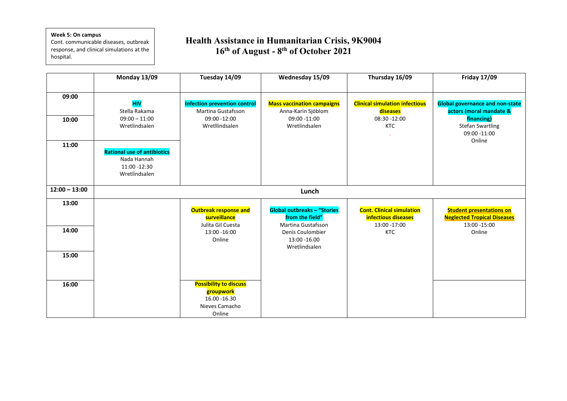## **Week 5: On campus**

**…** hospital.Cont. communicable diseases, outbreak response, and clinical simulations at the

|                         | Monday 13/09                                                                                                                                          | Tuesday 14/09                                                                                      | Wednesday 15/09                                                                          | Thursday 16/09                                                                  | <b>Friday 17/09</b>                                                                                                                  |
|-------------------------|-------------------------------------------------------------------------------------------------------------------------------------------------------|----------------------------------------------------------------------------------------------------|------------------------------------------------------------------------------------------|---------------------------------------------------------------------------------|--------------------------------------------------------------------------------------------------------------------------------------|
| 09:00<br>10:00<br>11:00 | <b>HIV</b><br>Stella Rakama<br>$09:00 - 11:00$<br>Wretlindsalen<br><b>Rational use of antibiotics</b><br>Nada Hannah<br>11:00 -12:30<br>Wretlindsalen | <b>Infection prevention control</b><br><b>Martina Gustafsson</b><br>09:00 -12:00<br>Wretllindsalen | <b>Mass vaccination campaigns</b><br>Anna-Karin Sjöblom<br>09:00 -11:00<br>Wretlindsalen | <b>Clinical simulation infectious</b><br>diseases<br>08:30 -12:00<br><b>KTC</b> | <b>Global governance and non-state</b><br>actors (moral mandate &<br>financing)<br><b>Stefan Swartling</b><br>09:00 -11:00<br>Online |
| $12:00 - 13:00$         |                                                                                                                                                       |                                                                                                    | Lunch                                                                                    |                                                                                 |                                                                                                                                      |
| 13:00                   |                                                                                                                                                       | <b>Outbreak response and</b><br>surveillance                                                       | <b>Global outbreaks - "Stories</b><br>from the field"                                    | <b>Cont. Clinical simulation</b><br>infectious diseases                         | <b>Student presentations on</b><br><b>Neglected Tropical Diseases</b>                                                                |
| 14:00                   |                                                                                                                                                       | Julita Gil Cuesta<br>13:00 - 16:00<br>Online                                                       | Martina Gustafsson<br>Denis Coulombier<br>13:00 -16.00<br>Wretlindsalen                  | 13:00 -17:00<br><b>KTC</b>                                                      | 13:00 - 15:00<br>Online                                                                                                              |
| 15:00                   |                                                                                                                                                       |                                                                                                    |                                                                                          |                                                                                 |                                                                                                                                      |
| 16:00                   |                                                                                                                                                       | <b>Possibility to discuss</b><br>groupwork<br>16.00 - 16.30<br>Nieves Camacho<br>Online            |                                                                                          |                                                                                 |                                                                                                                                      |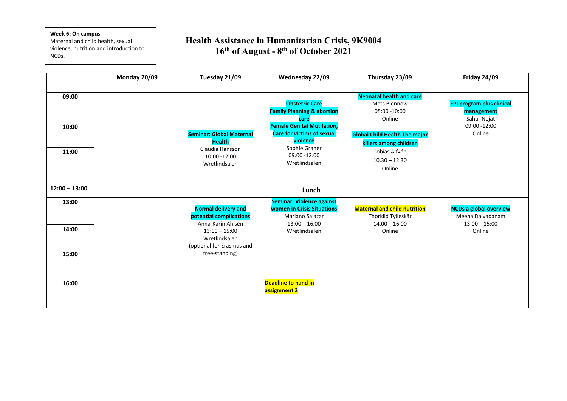#### **Week 6: On campus**

**…** NCDs.Maternal and child health, sexual violence, nutrition and introduction to

|                         | Monday 20/09 | Tuesday 21/09                                                                                                                                                 | Wednesday 22/09                                                                                                              | Thursday 23/09                                                                                               | Friday 24/09                                                                   |
|-------------------------|--------------|---------------------------------------------------------------------------------------------------------------------------------------------------------------|------------------------------------------------------------------------------------------------------------------------------|--------------------------------------------------------------------------------------------------------------|--------------------------------------------------------------------------------|
| 09:00<br>10:00          |              |                                                                                                                                                               | <b>Obstetric Care</b><br><b>Family Planning &amp; abortion</b><br>care<br><b>Female Genital Mutilation,</b>                  | <b>Neonatal health and care</b><br><b>Mats Blennow</b><br>$08:00 - 10:00$<br>Online                          | <b>EPI program plus clinical</b><br>management<br>Sahar Nejat<br>09:00 -12:00  |
| 11:00                   |              | <b>Seminar: Global Maternal</b><br><b>Health</b><br>Claudia Hansson<br>10:00 -12:00<br>Wretlindsalen                                                          | <b>Care for victims of sexual</b><br>violence<br>Sophie Graner<br>09:00 -12:00<br>Wretlindsalen                              | <b>Global Child Health The major</b><br>killers among children<br>Tobias Alfvén<br>$10.30 - 12.30$<br>Online | Online                                                                         |
| $12:00 - 13:00$         |              |                                                                                                                                                               | Lunch                                                                                                                        |                                                                                                              |                                                                                |
| 13:00<br>14:00<br>15:00 |              | <b>Normal delivery and</b><br>potential complications<br>Anna-Karin Ahlsén<br>$13:00 - 15:00$<br>Wretlindsalen<br>(optional for Erasmus and<br>free-standing) | <b>Seminar: Violence against</b><br><b>women in Crisis Situations</b><br>Mariano Salazar<br>$13:00 - 16.00$<br>Wretlindsalen | <b>Maternal and child nutrition</b><br>Thorkild Tylleskär<br>$14.00 - 16.00$<br>Online                       | <b>NCDs a global overview</b><br>Meena Daivadanam<br>$13:00 - 15:00$<br>Online |
| 16:00                   |              |                                                                                                                                                               | <b>Deadline to hand in</b><br>assignment 2                                                                                   |                                                                                                              |                                                                                |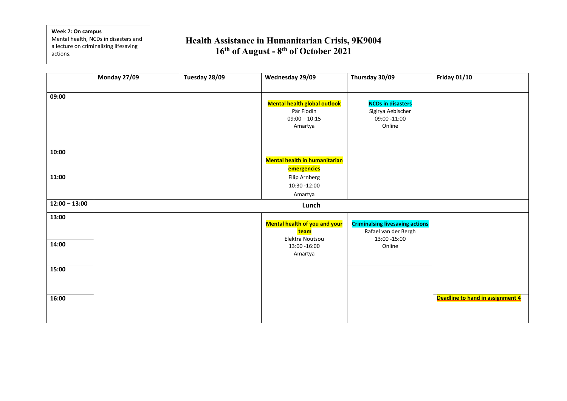#### **Week 7: On campus**

**…**

Mental health, NCDs in disasters and a lecture on criminalizing lifesaving actions.

|                 | Monday 27/09 | Tuesday 28/09 | Wednesday 29/09                              | Thursday 30/09                                                 | <b>Friday 01/10</b>              |
|-----------------|--------------|---------------|----------------------------------------------|----------------------------------------------------------------|----------------------------------|
| 09:00           |              |               |                                              |                                                                |                                  |
|                 |              |               | <b>Mental health global outlook</b>          | <b>NCDs in disasters</b>                                       |                                  |
|                 |              |               | Pär Flodin<br>$09:00 - 10:15$                | Sigirya Aebischer<br>09:00 -11:00                              |                                  |
|                 |              |               | Amartya                                      | Online                                                         |                                  |
|                 |              |               |                                              |                                                                |                                  |
|                 |              |               |                                              |                                                                |                                  |
| 10:00           |              |               |                                              |                                                                |                                  |
|                 |              |               | <b>Mental health in humanitarian</b>         |                                                                |                                  |
|                 |              |               | emergencies                                  |                                                                |                                  |
| 11:00           |              |               | <b>Filip Arnberg</b>                         |                                                                |                                  |
|                 |              |               | 10:30 -12:00                                 |                                                                |                                  |
| $12:00 - 13:00$ |              |               | Amartya                                      |                                                                |                                  |
|                 |              |               | Lunch                                        |                                                                |                                  |
| 13:00           |              |               |                                              |                                                                |                                  |
|                 |              |               | <b>Mental health of you and your</b><br>team | <b>Criminalsing livesaving actions</b><br>Rafael van der Bergh |                                  |
|                 |              |               | Elektra Noutsou                              | 13:00 - 15:00                                                  |                                  |
| 14:00           |              |               | 13:00 - 16:00                                | Online                                                         |                                  |
|                 |              |               | Amartya                                      |                                                                |                                  |
|                 |              |               |                                              |                                                                |                                  |
| 15:00           |              |               |                                              |                                                                |                                  |
|                 |              |               |                                              |                                                                |                                  |
|                 |              |               |                                              |                                                                |                                  |
| 16:00           |              |               |                                              |                                                                | Deadline to hand in assignment 4 |
|                 |              |               |                                              |                                                                |                                  |
|                 |              |               |                                              |                                                                |                                  |